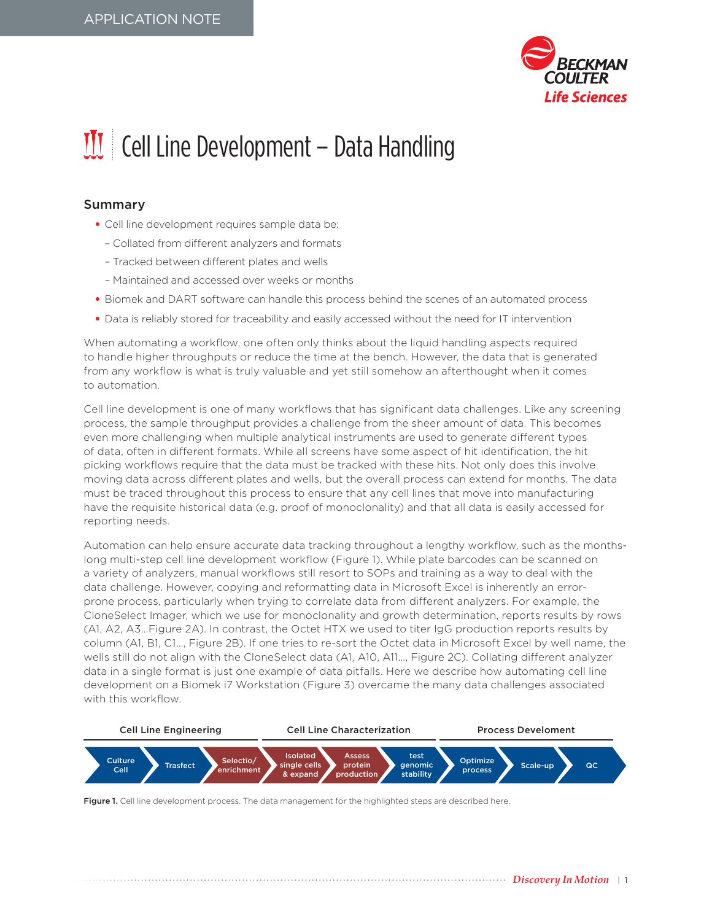

## $III$  Cell Line Development – Data Handling

## Summary

- Cell line development requires sample data be:
	- Collated from different analyzers and formats
	- Tracked between different plates and wells
	- Maintained and accessed over weeks or months
- Biomek and DART software can handle this process behind the scenes of an automated process
- Data is reliably stored for traceability and easily accessed without the need for IT intervention

When automating a workflow, one often only thinks about the liquid handling aspects required to handle higher throughputs or reduce the time at the bench. However, the data that is generated from any workflow is what is truly valuable and yet still somehow an afterthought when it comes to automation.

Cell line development is one of many workflows that has significant data challenges. Like any screening process, the sample throughput provides a challenge from the sheer amount of data. This becomes even more challenging when multiple analytical instruments are used to generate different types of data, often in different formats. While all screens have some aspect of hit identification, the hit picking workflows require that the data must be tracked with these hits. Not only does this involve moving data across different plates and wells, but the overall process can extend for months. The data must be traced throughout this process to ensure that any cell lines that move into manufacturing have the requisite historical data (e.g. proof of monoclonality) and that all data is easily accessed for reporting needs.

Automation can help ensure accurate data tracking throughout a lengthy workflow, such as the monthslong multi-step cell line development workflow (Figure 1). While plate barcodes can be scanned on a variety of analyzers, manual workflows still resort to SOPs and training as a way to deal with the data challenge. However, copying and reformatting data in Microsoft Excel is inherently an errorprone process, particularly when trying to correlate data from different analyzers. For example, the CloneSelect Imager, which we use for monoclonality and growth determination, reports results by rows (A1, A2, A3…Figure 2A). In contrast, the Octet HTX we used to titer IgG production reports results by column (A1, B1, C1…, Figure 2B). If one tries to re-sort the Octet data in Microsoft Excel by well name, the wells still do not align with the CloneSelect data (A1, A10, A11…, Figure 2C). Collating different analyzer data in a single format is just one example of data pitfalls. Here we describe how automating cell line development on a Biomek i7 Workstation (Figure 3) overcame the many data challenges associated with this workflow.



Figure 1. Cell line development process. The data management for the highlighted steps are described here.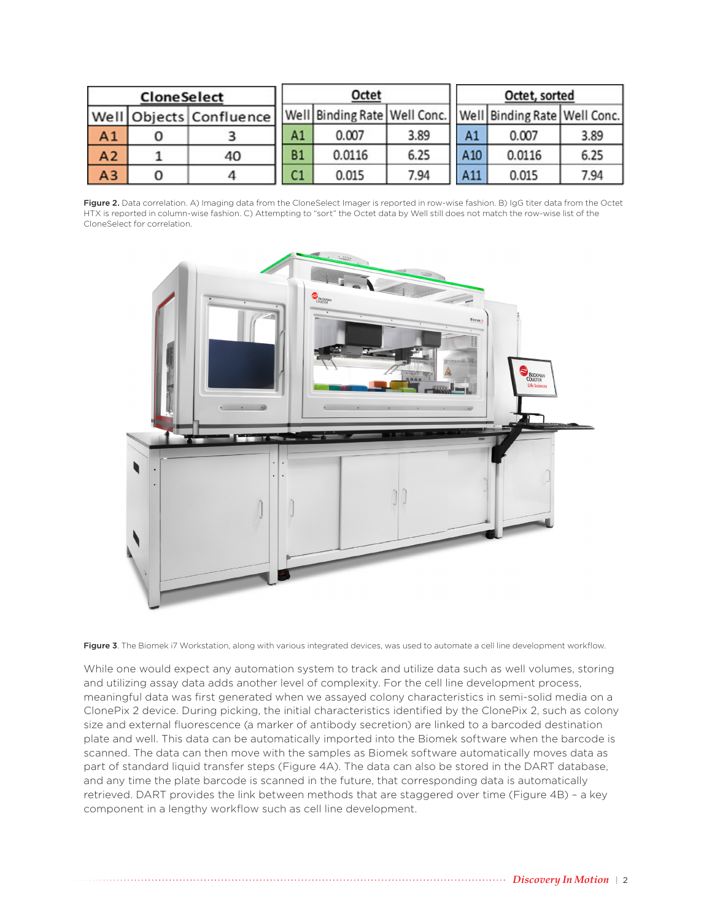| <b>CloneSelect</b> |   |                         |                | Octet                                                           |      | Octet, sorted |        |      |  |
|--------------------|---|-------------------------|----------------|-----------------------------------------------------------------|------|---------------|--------|------|--|
|                    |   | Well Objects Confluence |                | Well Binding Rate   Well Conc.   Well Binding Rate   Well Conc. |      |               |        |      |  |
| A <sub>1</sub>     | O |                         | Α1             | 0.007                                                           | 3.89 | A1            | 0.007  | 3.89 |  |
| A2                 |   | 40                      | <b>B1</b>      | 0.0116                                                          | 6.25 | A10           | 0.0116 | 6.25 |  |
| A3                 | 0 | 4                       | C <sub>1</sub> | 0.015                                                           | 7.94 | A11           | 0.015  | 7.94 |  |

Figure 2. Data correlation. A) Imaging data from the CloneSelect Imager is reported in row-wise fashion. B) IgG titer data from the Octet HTX is reported in column-wise fashion. C) Attempting to "sort" the Octet data by Well still does not match the row-wise list of the CloneSelect for correlation.



Figure 3. The Biomek i7 Workstation, along with various integrated devices, was used to automate a cell line development workflow.

While one would expect any automation system to track and utilize data such as well volumes, storing and utilizing assay data adds another level of complexity. For the cell line development process, meaningful data was first generated when we assayed colony characteristics in semi-solid media on a ClonePix 2 device. During picking, the initial characteristics identified by the ClonePix 2, such as colony size and external fluorescence (a marker of antibody secretion) are linked to a barcoded destination plate and well. This data can be automatically imported into the Biomek software when the barcode is scanned. The data can then move with the samples as Biomek software automatically moves data as part of standard liquid transfer steps (Figure 4A). The data can also be stored in the DART database, and any time the plate barcode is scanned in the future, that corresponding data is automatically retrieved. DART provides the link between methods that are staggered over time (Figure 4B) – a key component in a lengthy workflow such as cell line development.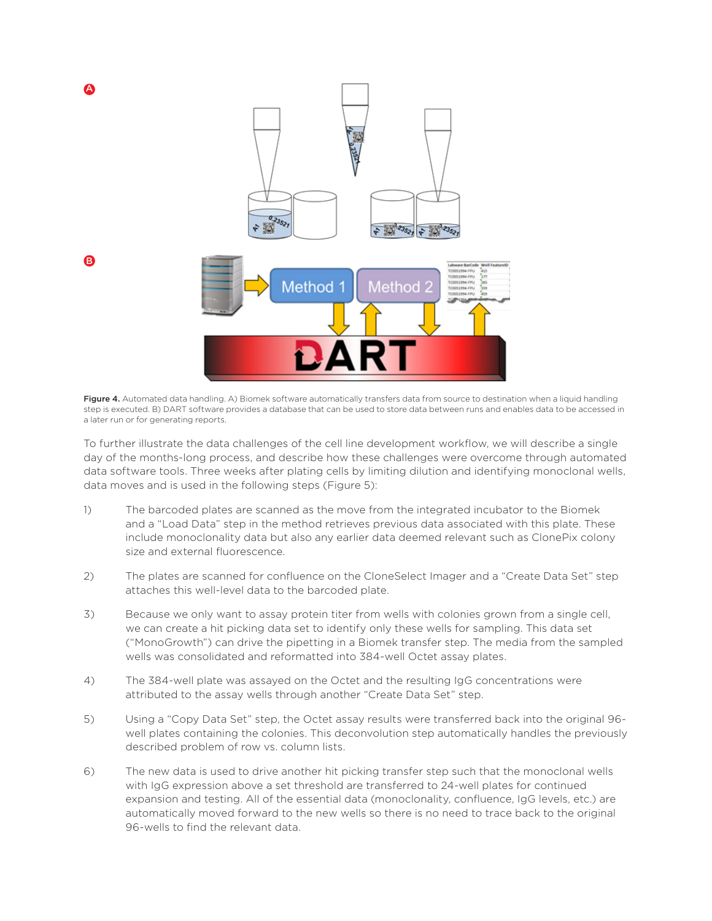

Figure 4. Automated data handling. A) Biomek software automatically transfers data from source to destination when a liquid handling step is executed. B) DART software provides a database that can be used to store data between runs and enables data to be accessed in a later run or for generating reports.

To further illustrate the data challenges of the cell line development workflow, we will describe a single day of the months-long process, and describe how these challenges were overcome through automated data software tools. Three weeks after plating cells by limiting dilution and identifying monoclonal wells, data moves and is used in the following steps (Figure 5):

- 1) The barcoded plates are scanned as the move from the integrated incubator to the Biomek and a "Load Data" step in the method retrieves previous data associated with this plate. These include monoclonality data but also any earlier data deemed relevant such as ClonePix colony size and external fluorescence.
- 2) The plates are scanned for confluence on the CloneSelect Imager and a "Create Data Set" step attaches this well-level data to the barcoded plate.
- 3) Because we only want to assay protein titer from wells with colonies grown from a single cell, we can create a hit picking data set to identify only these wells for sampling. This data set ("MonoGrowth") can drive the pipetting in a Biomek transfer step. The media from the sampled wells was consolidated and reformatted into 384-well Octet assay plates.
- 4) The 384-well plate was assayed on the Octet and the resulting IgG concentrations were attributed to the assay wells through another "Create Data Set" step.
- 5) Using a "Copy Data Set" step, the Octet assay results were transferred back into the original 96 well plates containing the colonies. This deconvolution step automatically handles the previously described problem of row vs. column lists.
- 6) The new data is used to drive another hit picking transfer step such that the monoclonal wells with IgG expression above a set threshold are transferred to 24-well plates for continued expansion and testing. All of the essential data (monoclonality, confluence, IgG levels, etc.) are automatically moved forward to the new wells so there is no need to trace back to the original 96-wells to find the relevant data.

B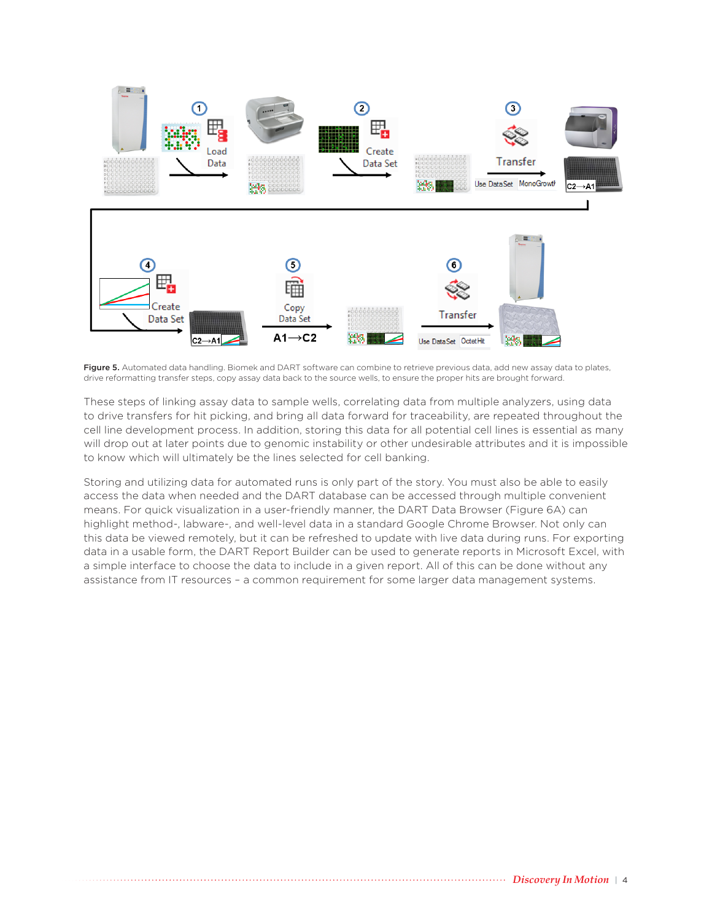

Figure 5. Automated data handling. Biomek and DART software can combine to retrieve previous data, add new assay data to plates, drive reformatting transfer steps, copy assay data back to the source wells, to ensure the proper hits are brought forward.

These steps of linking assay data to sample wells, correlating data from multiple analyzers, using data to drive transfers for hit picking, and bring all data forward for traceability, are repeated throughout the cell line development process. In addition, storing this data for all potential cell lines is essential as many will drop out at later points due to genomic instability or other undesirable attributes and it is impossible to know which will ultimately be the lines selected for cell banking.

Storing and utilizing data for automated runs is only part of the story. You must also be able to easily access the data when needed and the DART database can be accessed through multiple convenient means. For quick visualization in a user-friendly manner, the DART Data Browser (Figure 6A) can highlight method-, labware-, and well-level data in a standard Google Chrome Browser. Not only can this data be viewed remotely, but it can be refreshed to update with live data during runs. For exporting data in a usable form, the DART Report Builder can be used to generate reports in Microsoft Excel, with a simple interface to choose the data to include in a given report. All of this can be done without any assistance from IT resources – a common requirement for some larger data management systems.